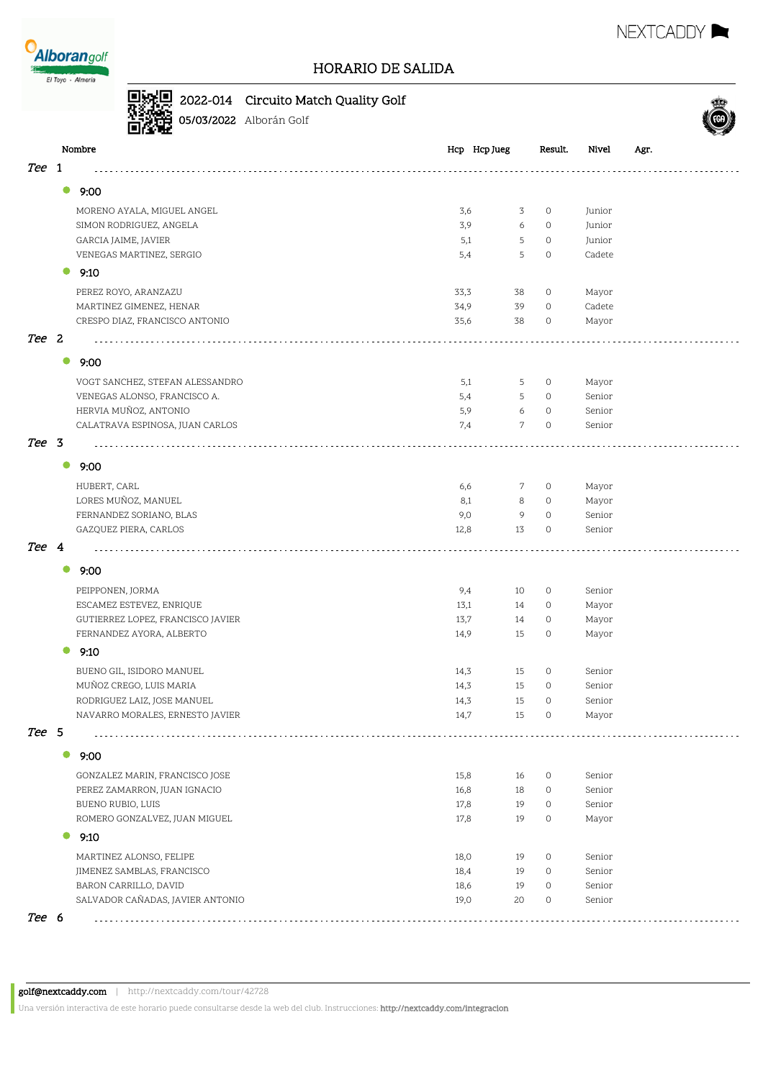

## 2022-014 Circuito Match Quality Golf

**05/03/2022** Alborán Golf



|       | Nombre                                           | Hcp Hcp Jueg          | Result.            | Nivel<br>Agr.    |  |
|-------|--------------------------------------------------|-----------------------|--------------------|------------------|--|
| Tee   | 1                                                |                       |                    |                  |  |
|       | $\bullet$<br>9:00                                |                       |                    |                  |  |
|       |                                                  |                       |                    |                  |  |
|       | MORENO AYALA, MIGUEL ANGEL                       | 3,6<br>3              | $\circ$            | Junior           |  |
|       | SIMON RODRIGUEZ, ANGELA                          | 3,9<br>6<br>5         | $\circ$<br>$\circ$ | Junior<br>Junior |  |
|       | GARCIA JAIME, JAVIER<br>VENEGAS MARTINEZ, SERGIO | 5,1<br>5<br>5,4       | $\circ$            | Cadete           |  |
|       |                                                  |                       |                    |                  |  |
|       | 9:10                                             |                       |                    |                  |  |
|       | PEREZ ROYO, ARANZAZU                             | 33,3<br>38            | $\circ$            | Mayor            |  |
|       | MARTINEZ GIMENEZ, HENAR                          | 34,9<br>39            | $\circ$            | Cadete           |  |
|       | CRESPO DIAZ, FRANCISCO ANTONIO                   | 35,6<br>38            | $\circ$            | Mayor            |  |
| Tee 2 |                                                  |                       |                    |                  |  |
|       | $\bullet$<br>9:00                                |                       |                    |                  |  |
|       | VOGT SANCHEZ, STEFAN ALESSANDRO                  | 5,1<br>5              | $\circ$            | Mayor            |  |
|       | VENEGAS ALONSO, FRANCISCO A.                     | 5,4<br>5              | $\circ$            | Senior           |  |
|       | HERVIA MUÑOZ, ANTONIO                            | 6<br>5,9              | $\circ$            | Senior           |  |
|       | CALATRAVA ESPINOSA, JUAN CARLOS                  | $\overline{7}$<br>7,4 | $\circ$            | Senior           |  |
| Tee 3 |                                                  |                       |                    |                  |  |
|       | $\bullet$<br>9:00                                |                       |                    |                  |  |
|       | HUBERT, CARL                                     | 6,6<br>7              | $\circ$            | Mayor            |  |
|       | LORES MUÑOZ, MANUEL                              | 8,1<br>8              | $\circ$            | Mayor            |  |
|       | FERNANDEZ SORIANO, BLAS                          | 9,0<br>9              | $\circ$            | Senior           |  |
|       | GAZQUEZ PIERA, CARLOS                            | 13<br>12,8            | $\circ$            | Senior           |  |
| Tee 4 |                                                  |                       |                    |                  |  |
|       | 9:00<br>0                                        |                       |                    |                  |  |
|       | PEIPPONEN, JORMA                                 | 9,4<br>10             | $\circ$            | Senior           |  |
|       | ESCAMEZ ESTEVEZ, ENRIQUE                         | 13,1<br>14            | $\circ$            | Mayor            |  |
|       | GUTIERREZ LOPEZ, FRANCISCO JAVIER                | 13,7<br>14            | $\circ$            | Mayor            |  |
|       | FERNANDEZ AYORA, ALBERTO                         | 14,9<br>15            | $\circ$            | Mayor            |  |
|       | 9:10                                             |                       |                    |                  |  |
|       | BUENO GIL, ISIDORO MANUEL                        | 14,3<br>15            | $\circ$            | Senior           |  |
|       | MUÑOZ CREGO, LUIS MARIA                          | 14,3<br>15            | $\circ$            | Senior           |  |
|       | RODRIGUEZ LAIZ, JOSE MANUEL                      | 15<br>14,3            | $\circ$            | Senior           |  |
|       | NAVARRO MORALES, ERNESTO JAVIER                  | 14,7<br>15            | 0                  | Mayor            |  |
| Tee 5 |                                                  |                       |                    |                  |  |
|       | $\bullet$<br>9:00                                |                       |                    |                  |  |
|       | GONZALEZ MARIN, FRANCISCO JOSE                   | 15,8<br>16            | 0                  | Senior           |  |
|       | PEREZ ZAMARRON, JUAN IGNACIO                     | 16,8<br>18            | $\circ$            | Senior           |  |
|       | BUENO RUBIO, LUIS                                | 17,8<br>19            | $\circ$            | Senior           |  |
|       | ROMERO GONZALVEZ, JUAN MIGUEL                    | 17,8<br>19            | $\circ$            | Mayor            |  |
|       | 9:10                                             |                       |                    |                  |  |
|       | MARTINEZ ALONSO, FELIPE                          | 18,0<br>19            | $\circ$            | Senior           |  |
|       | JIMENEZ SAMBLAS, FRANCISCO                       | 18,4<br>19            | $\circ$            | Senior           |  |
|       | BARON CARRILLO, DAVID                            | 18,6<br>19            | $\circ$            | Senior           |  |
|       | SALVADOR CAÑADAS, JAVIER ANTONIO                 | 19,0<br>20            | $\circ$            | Senior           |  |
| Tee 6 |                                                  |                       |                    |                  |  |

Una versión interactiva de este horario puede consultarse desde la web del club. Instrucciones: http://nextcaddy.com/integracion

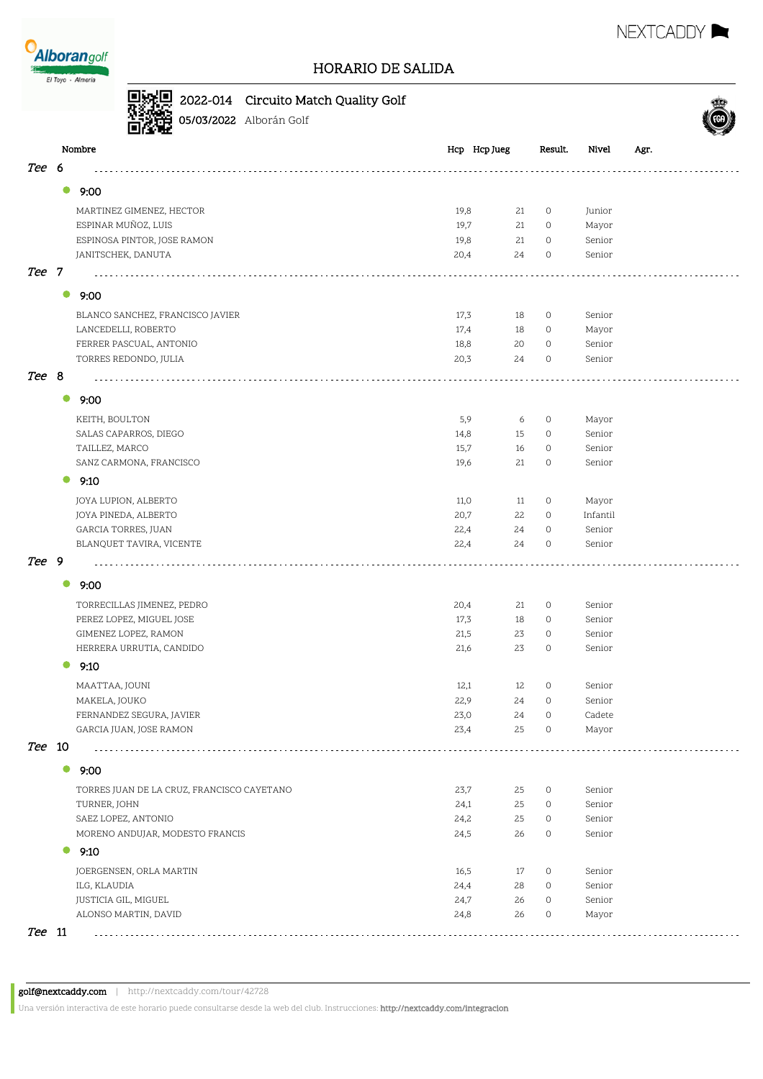

NEXTCADDY **N** 



|        |           |                                            | 2022-014 Circuito Match Quality Golf |      |              |         |          |      |  |
|--------|-----------|--------------------------------------------|--------------------------------------|------|--------------|---------|----------|------|--|
|        |           |                                            | 05/03/2022 Alborán Golf              |      |              |         |          |      |  |
|        |           | Nombre                                     |                                      |      | Hcp Hcp Jueg | Result. | Nivel    | Agr. |  |
| Tee    | 6         |                                            |                                      |      |              |         |          |      |  |
|        | $\bullet$ | 9:00                                       |                                      |      |              |         |          |      |  |
|        |           | MARTINEZ GIMENEZ, HECTOR                   |                                      | 19,8 | 21           | 0       | Junior   |      |  |
|        |           | ESPINAR MUÑOZ, LUIS                        |                                      | 19,7 | 21           | 0       | Mayor    |      |  |
|        |           | ESPINOSA PINTOR, JOSE RAMON                |                                      | 19,8 | 21           | $\circ$ | Senior   |      |  |
|        |           | JANITSCHEK, DANUTA                         |                                      | 20,4 | 24           | $\circ$ | Senior   |      |  |
| Tee 7  |           |                                            |                                      |      |              |         |          |      |  |
|        | $\bullet$ | 9:00                                       |                                      |      |              |         |          |      |  |
|        |           | BLANCO SANCHEZ, FRANCISCO JAVIER           |                                      | 17,3 | 18           | 0       | Senior   |      |  |
|        |           | LANCEDELLI, ROBERTO                        |                                      | 17,4 | 18           | 0       | Mayor    |      |  |
|        |           | FERRER PASCUAL, ANTONIO                    |                                      | 18,8 | 20           | $\circ$ | Senior   |      |  |
|        |           | TORRES REDONDO, JULIA                      |                                      | 20,3 | 24           | $\circ$ | Senior   |      |  |
| Tee 8  |           |                                            |                                      |      |              |         |          |      |  |
|        | $\bullet$ | 9:00                                       |                                      |      |              |         |          |      |  |
|        |           | KEITH, BOULTON                             |                                      | 5,9  | 6            | 0       | Mayor    |      |  |
|        |           | SALAS CAPARROS, DIEGO                      |                                      | 14,8 | 15           | 0       | Senior   |      |  |
|        |           | TAILLEZ, MARCO                             |                                      | 15,7 | 16           | $\circ$ | Senior   |      |  |
|        |           | SANZ CARMONA, FRANCISCO                    |                                      | 19,6 | 21           | $\circ$ | Senior   |      |  |
|        | 0         | 9:10                                       |                                      |      |              |         |          |      |  |
|        |           | JOYA LUPION, ALBERTO                       |                                      | 11,0 | 11           | $\circ$ | Mayor    |      |  |
|        |           | JOYA PINEDA, ALBERTO                       |                                      | 20,7 | 22           | $\circ$ | Infantil |      |  |
|        |           | GARCIA TORRES, JUAN                        |                                      | 22,4 | 24           | $\circ$ | Senior   |      |  |
|        |           | BLANQUET TAVIRA, VICENTE                   |                                      | 22,4 | 24           | 0       | Senior   |      |  |
| Tee 9  |           |                                            |                                      |      |              |         |          |      |  |
|        | $\bullet$ | 9:00                                       |                                      |      |              |         |          |      |  |
|        |           | TORRECILLAS JIMENEZ, PEDRO                 |                                      | 20,4 | 21           | $\circ$ | Senior   |      |  |
|        |           | PEREZ LOPEZ, MIGUEL JOSE                   |                                      | 17,3 | 18           | 0       | Senior   |      |  |
|        |           | GIMENEZ LOPEZ, RAMON                       |                                      | 21,5 | 23           | $\circ$ | Senior   |      |  |
|        |           | HERRERA URRUTIA, CANDIDO                   |                                      | 21,6 | 23           | $\circ$ | Senior   |      |  |
|        |           | 9:10                                       |                                      |      |              |         |          |      |  |
|        |           | MAATTAA, JOUNI                             |                                      | 12,1 | 12           | $\circ$ | Senior   |      |  |
|        |           | MAKELA, JOUKO                              |                                      | 22,9 | 24           | 0       | Senior   |      |  |
|        |           | FERNANDEZ SEGURA, JAVIER                   |                                      | 23,0 | 24           | 0       | Cadete   |      |  |
|        |           | GARCIA JUAN, JOSE RAMON                    |                                      | 23,4 | 25           | 0       | Mayor    |      |  |
| Tee 10 |           |                                            |                                      |      |              |         |          |      |  |
|        | $\bullet$ | 9:00                                       |                                      |      |              |         |          |      |  |
|        |           | TORRES JUAN DE LA CRUZ, FRANCISCO CAYETANO |                                      | 23,7 | 25           | 0       | Senior   |      |  |
|        |           | TURNER, JOHN                               |                                      | 24,1 | 25           | 0       | Senior   |      |  |
|        |           | SAEZ LOPEZ, ANTONIO                        |                                      | 24,2 | 25           | 0       | Senior   |      |  |
|        |           | MORENO ANDUJAR, MODESTO FRANCIS            |                                      | 24,5 | 26           | 0       | Senior   |      |  |
|        |           | 9:10                                       |                                      |      |              |         |          |      |  |
|        |           | JOERGENSEN, ORLA MARTIN                    |                                      | 16,5 | 17           | 0       | Senior   |      |  |
|        |           | ILG, KLAUDIA                               |                                      | 24,4 | 28           | 0       | Senior   |      |  |
|        |           | JUSTICIA GIL, MIGUEL                       |                                      | 24,7 | 26           | 0       | Senior   |      |  |
|        |           | ALONSO MARTIN, DAVID                       |                                      | 24,8 | 26           | 0       | Mayor    |      |  |
| Tee 11 |           |                                            |                                      |      |              |         |          |      |  |

Una versión interactiva de este horario puede consultarse desde la web del club. Instrucciones: http://nextcaddy.com/integracion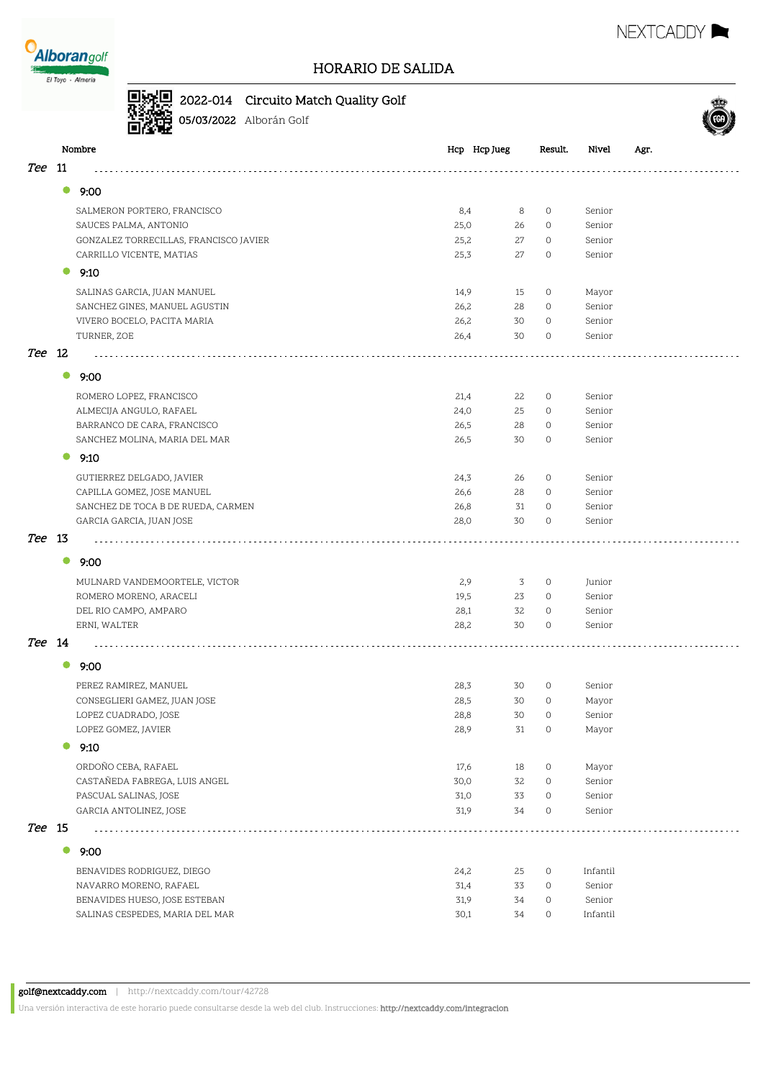

## 2022-014 Circuito Match Quality Golf



**05/03/2022** Alborán Golf

|            |           | Nombre                                 |      | Hcp Hcp Jueg | Result. | Nivel    | Agr. |
|------------|-----------|----------------------------------------|------|--------------|---------|----------|------|
| <i>Tee</i> | 11        |                                        |      |              |         |          |      |
|            | $\bullet$ |                                        |      |              |         |          |      |
|            |           | 9:00                                   |      |              |         |          |      |
|            |           | SALMERON PORTERO, FRANCISCO            |      | 8,4<br>8     | $\circ$ | Senior   |      |
|            |           | SAUCES PALMA, ANTONIO                  | 25,0 | 26           | $\circ$ | Senior   |      |
|            |           | GONZALEZ TORRECILLAS, FRANCISCO JAVIER | 25,2 | 27           | $\circ$ | Senior   |      |
|            |           | CARRILLO VICENTE, MATIAS               | 25,3 | 27           | 0       | Senior   |      |
|            | 0         | 9:10                                   |      |              |         |          |      |
|            |           | SALINAS GARCIA, JUAN MANUEL            | 14,9 | 15           | $\circ$ | Mayor    |      |
|            |           | SANCHEZ GINES, MANUEL AGUSTIN          | 26,2 | 28           | 0       | Senior   |      |
|            |           | VIVERO BOCELO, PACITA MARIA            | 26,2 | 30           | $\circ$ | Senior   |      |
|            |           | TURNER, ZOE                            | 26,4 | 30           | 0       | Senior   |      |
| <i>Tee</i> | -12       |                                        |      |              |         |          |      |
|            |           |                                        |      |              |         |          |      |
|            | $\bullet$ | 9:00                                   |      |              |         |          |      |
|            |           | ROMERO LOPEZ, FRANCISCO                | 21,4 | 22           | $\circ$ | Senior   |      |
|            |           | ALMECIJA ANGULO, RAFAEL                | 24,0 | 25           | $\circ$ | Senior   |      |
|            |           | BARRANCO DE CARA, FRANCISCO            | 26,5 | 28           | $\circ$ | Senior   |      |
|            |           | SANCHEZ MOLINA, MARIA DEL MAR          | 26,5 | 30           | $\circ$ | Senior   |      |
|            | $\bullet$ | 9:10                                   |      |              |         |          |      |
|            |           | GUTIERREZ DELGADO, JAVIER              | 24,3 | 26           | 0       | Senior   |      |
|            |           | CAPILLA GOMEZ, JOSE MANUEL             | 26,6 | 28           | 0       | Senior   |      |
|            |           | SANCHEZ DE TOCA B DE RUEDA, CARMEN     | 26,8 | 31           | $\circ$ | Senior   |      |
|            |           | GARCIA GARCIA, JUAN JOSE               | 28,0 | 30           | $\circ$ | Senior   |      |
| Tee 13     |           |                                        |      |              |         |          |      |
|            |           |                                        |      |              |         |          |      |
|            | $\bullet$ | 9:00                                   |      |              |         |          |      |
|            |           | MULNARD VANDEMOORTELE, VICTOR          |      | 2,9<br>3     | $\circ$ | Junior   |      |
|            |           | ROMERO MORENO, ARACELI                 | 19,5 | 23           | 0       | Senior   |      |
|            |           | DEL RIO CAMPO, AMPARO                  | 28,1 | 32           | $\circ$ | Senior   |      |
|            |           | ERNI, WALTER                           | 28,2 | 30           | $\circ$ | Senior   |      |
| Tee 14     |           |                                        |      |              |         |          |      |
|            | $\bullet$ |                                        |      |              |         |          |      |
|            |           | 9:00                                   |      |              |         |          |      |
|            |           | PEREZ RAMIREZ, MANUEL                  | 28,3 | 30           | 0       | Senior   |      |
|            |           | CONSEGLIERI GAMEZ, JUAN JOSE           | 28,5 | 30           | $\circ$ | Mayor    |      |
|            |           | LOPEZ CUADRADO, JOSE                   | 28,8 | 30           | $\circ$ | Senior   |      |
|            |           | LOPEZ GOMEZ, JAVIER                    | 28,9 | 31           | 0       | Mayor    |      |
|            |           | 9:10                                   |      |              |         |          |      |
|            |           | ORDOÑO CEBA, RAFAEL                    | 17,6 | 18           | $\circ$ | Mayor    |      |
|            |           | CASTAÑEDA FABREGA, LUIS ANGEL          | 30,0 | 32           | $\circ$ | Senior   |      |
|            |           | PASCUAL SALINAS, JOSE                  | 31,0 | 33           | $\circ$ | Senior   |      |
|            |           | GARCIA ANTOLINEZ, JOSE                 | 31,9 | 34           | $\circ$ | Senior   |      |
| Tee 15     |           |                                        |      |              |         |          |      |
|            | $\bullet$ |                                        |      |              |         |          |      |
|            |           | 9:00                                   |      |              |         |          |      |
|            |           | BENAVIDES RODRIGUEZ, DIEGO             | 24,2 | 25           | $\circ$ | Infantil |      |
|            |           | NAVARRO MORENO, RAFAEL                 | 31,4 | 33           | $\circ$ | Senior   |      |
|            |           | BENAVIDES HUESO, JOSE ESTEBAN          | 31,9 | 34           | $\circ$ | Senior   |      |
|            |           | SALINAS CESPEDES, MARIA DEL MAR        | 30,1 | 34           | 0       | Infantil |      |